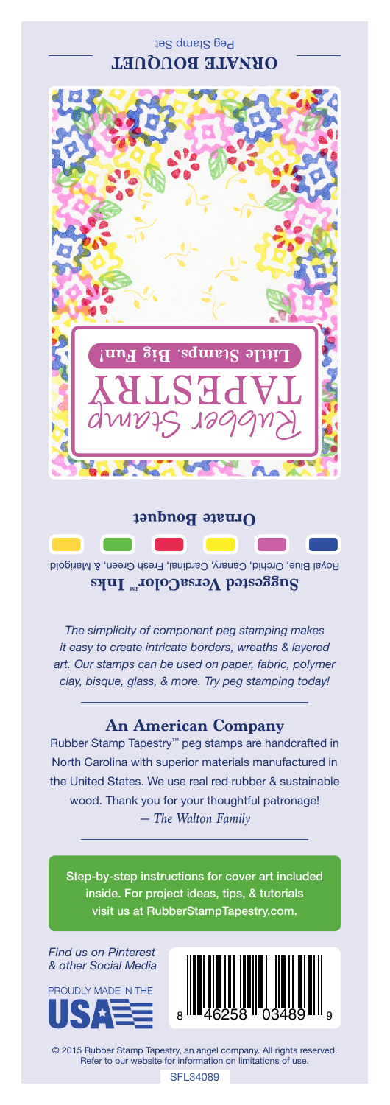## Peg Stamp Set **ORNATE BOUQUET**



**Ornate Bouquet**

Royal Blue, Orchid, Canary, Cardinal, Fresh Green, & Marigold Suggested VersaColor<sup>m</sup> Inks

*The simplicity of component peg stamping makes it easy to create intricate borders, wreaths & layered art. Our stamps can be used on paper, fabric, polymer clay, bisque, glass, & more. Try peg stamping today!*

## **An American Company**

*— The Walton Family* Rubber Stamp Tapestry™ peg stamps are handcrafted in North Carolina with superior materials manufactured in the United States. We use real red rubber & sustainable wood. Thank you for your thoughtful patronage!

Step-by-step instructions for cover art included inside. For project ideas, tips, & tutorials visit us at RubberStampTapestry.com.

*Find us on Pinterest & other Social Media*





© 2015 Rubber Stamp Tapestry, an angel company. All rights reserved. Refer to our website for information on limitations of use.